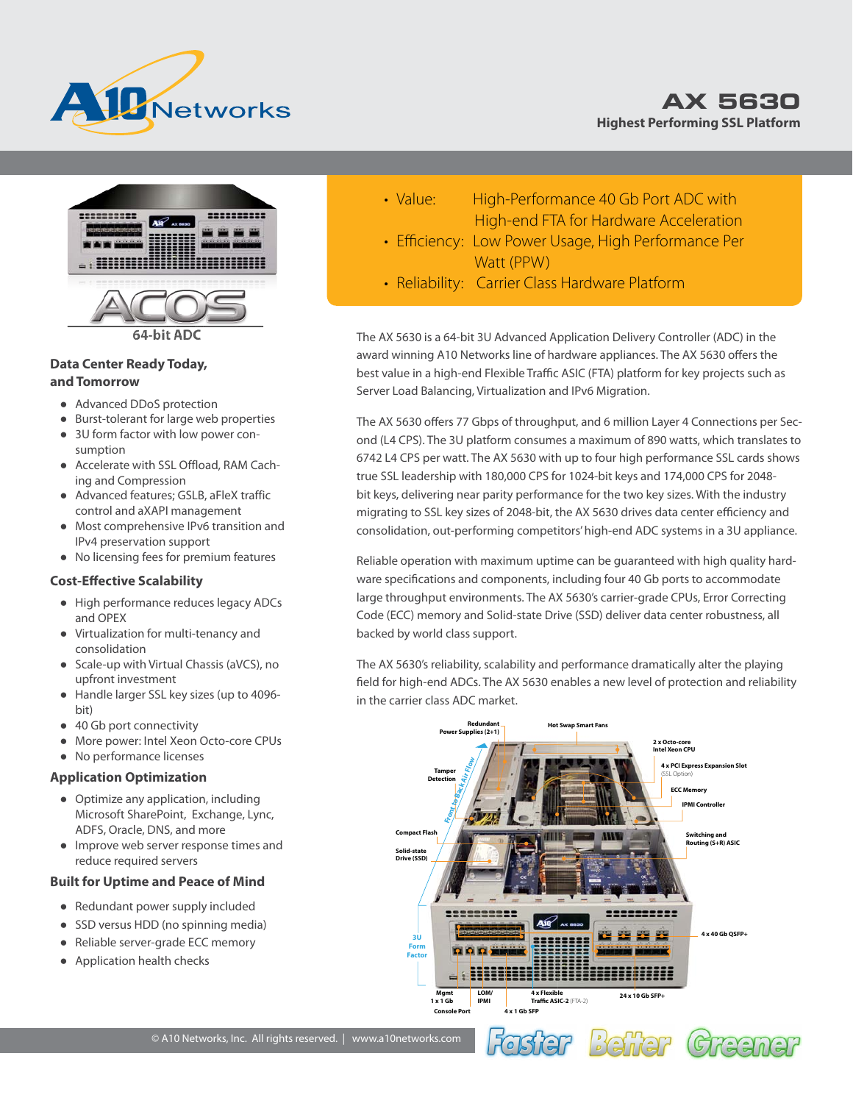





#### **Data Center Ready Today, and Tomorrow**

- Advanced DDoS protection
- Burst-tolerant for large web properties
- 3U form factor with low power consumption
- Accelerate with SSL Offload, RAM Caching and Compression
- Advanced features; GSLB, aFleX traffic control and aXAPI management
- Most comprehensive IPv6 transition and IPv4 preservation support
- No licensing fees for premium features

#### **Cost-Effective Scalability**

- High performance reduces legacy ADCs and OPEX
- Virtualization for multi-tenancy and consolidation
- Scale-up with Virtual Chassis (aVCS), no upfront investment
- Handle larger SSL key sizes (up to 4096 bit)
- 40 Gb port connectivity
- More power: Intel Xeon Octo-core CPUs
- No performance licenses

#### **Application Optimization**

- Optimize any application, including Microsoft SharePoint, Exchange, Lync, ADFS, Oracle, DNS, and more
- Improve web server response times and reduce required servers

#### **Built for Uptime and Peace of Mind**

- Redundant power supply included
- SSD versus HDD (no spinning media)
- Reliable server-grade ECC memory
- Application health checks
- Value: High-Performance 40 Gb Port ADC with High-end FTA for Hardware Acceleration
- Efficiency: Low Power Usage, High Performance Per Watt (PPW)
- Reliability: Carrier Class Hardware Platform

The AX 5630 is a 64-bit 3U Advanced Application Delivery Controller (ADC) in the award winning A10 Networks line of hardware appliances. The AX 5630 offers the best value in a high-end Flexible Traffic ASIC (FTA) platform for key projects such as Server Load Balancing, Virtualization and IPv6 Migration.

The AX 5630 offers 77 Gbps of throughput, and 6 million Layer 4 Connections per Second (L4 CPS). The 3U platform consumes a maximum of 890 watts, which translates to 6742 L4 CPS per watt. The AX 5630 with up to four high performance SSL cards shows true SSL leadership with 180,000 CPS for 1024-bit keys and 174,000 CPS for 2048 bit keys, delivering near parity performance for the two key sizes. With the industry migrating to SSL key sizes of 2048-bit, the AX 5630 drives data center efficiency and consolidation, out-performing competitors' high-end ADC systems in a 3U appliance.

Reliable operation with maximum uptime can be guaranteed with high quality hardware specifications and components, including four 40 Gb ports to accommodate large throughput environments. The AX 5630's carrier-grade CPUs, Error Correcting Code (ECC) memory and Solid-state Drive (SSD) deliver data center robustness, all backed by world class support.

The AX 5630's reliability, scalability and performance dramatically alter the playing field for high-end ADCs. The AX 5630 enables a new level of protection and reliability in the carrier class ADC market.